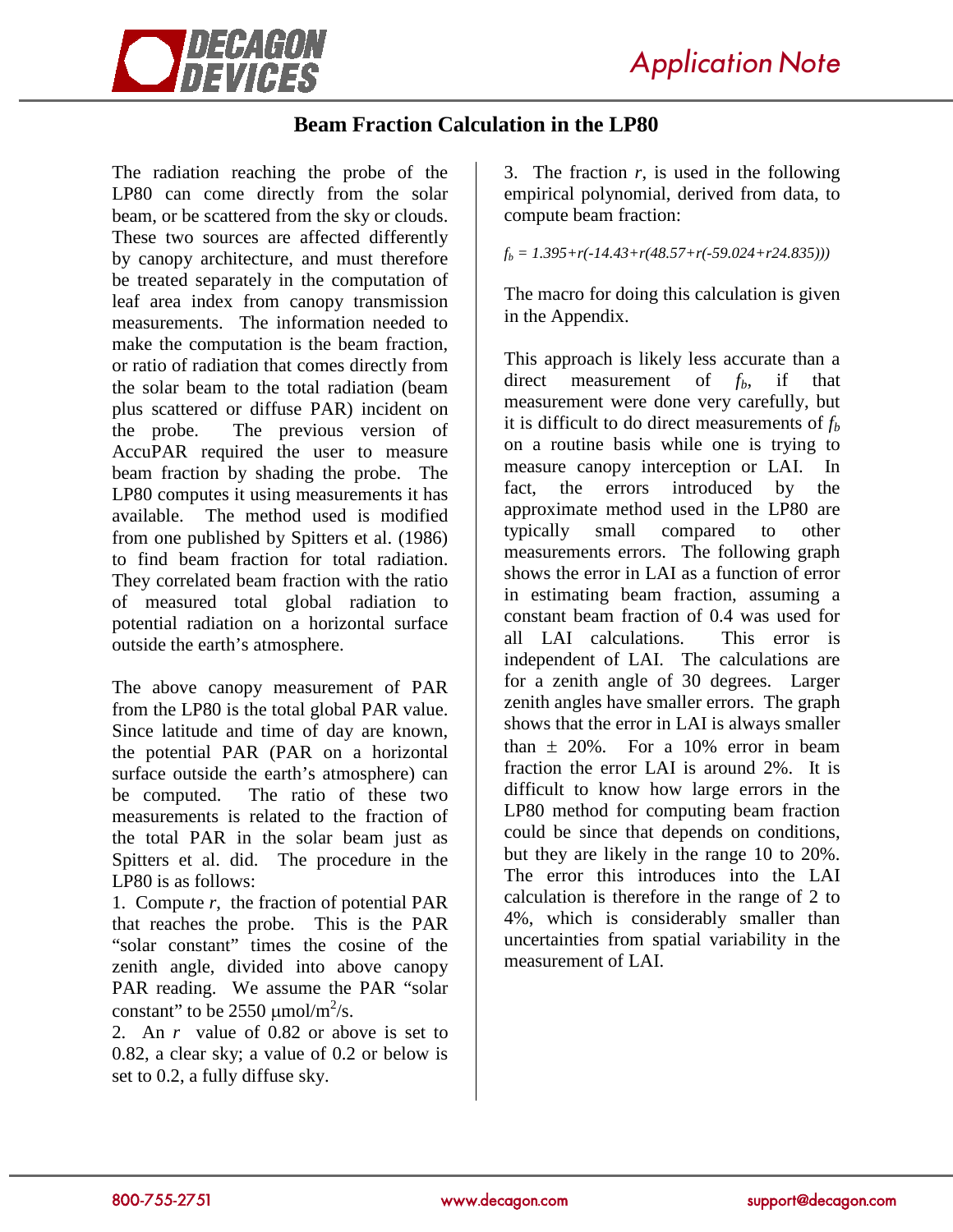

## **Beam Fraction Calculation in the LP80**

The radiation reaching the probe of the LP80 can come directly from the solar beam, or be scattered from the sky or clouds. These two sources are affected differently by canopy architecture, and must therefore be treated separately in the computation of leaf area index from canopy transmission measurements. The information needed to make the computation is the beam fraction, or ratio of radiation that comes directly from the solar beam to the total radiation (beam plus scattered or diffuse PAR) incident on the probe. The previous version of AccuPAR required the user to measure beam fraction by shading the probe. The LP80 computes it using measurements it has available. The method used is modified from one published by Spitters et al. (1986) to find beam fraction for total radiation. They correlated beam fraction with the ratio of measured total global radiation to potential radiation on a horizontal surface outside the earth's atmosphere.

The above canopy measurement of PAR from the LP80 is the total global PAR value. Since latitude and time of day are known, the potential PAR (PAR on a horizontal surface outside the earth's atmosphere) can be computed. The ratio of these two measurements is related to the fraction of the total PAR in the solar beam just as Spitters et al. did. The procedure in the LP80 is as follows:

1. Compute *r*, the fraction of potential PAR that reaches the probe. This is the PAR "solar constant" times the cosine of the zenith angle, divided into above canopy PAR reading. We assume the PAR "solar constant" to be  $2550 \mu \text{mol/m}^2/\text{s}$ .

2. An *r* value of 0.82 or above is set to 0.82, a clear sky; a value of 0.2 or below is set to 0.2, a fully diffuse sky.

3. The fraction *r*, is used in the following empirical polynomial, derived from data, to compute beam fraction:

 $f<sub>b</sub> = 1.395+r(-14.43+r(48.57+r(-59.024+r24.835)))$ 

The macro for doing this calculation is given in the Appendix.

This approach is likely less accurate than a direct measurement of  $f<sub>b</sub>$ , if that measurement were done very carefully, but it is difficult to do direct measurements of  $f<sub>b</sub>$ on a routine basis while one is trying to measure canopy interception or LAI. In fact, the errors introduced by the approximate method used in the LP80 are typically small compared to other measurements errors. The following graph shows the error in LAI as a function of error in estimating beam fraction, assuming a constant beam fraction of 0.4 was used for all LAI calculations. This error is independent of LAI. The calculations are for a zenith angle of 30 degrees. Larger zenith angles have smaller errors. The graph shows that the error in LAI is always smaller than  $\pm$  20%. For a 10% error in beam fraction the error LAI is around 2%. It is difficult to know how large errors in the LP80 method for computing beam fraction could be since that depends on conditions, but they are likely in the range 10 to 20%. The error this introduces into the LAI calculation is therefore in the range of 2 to 4%, which is considerably smaller than uncertainties from spatial variability in the measurement of LAI.